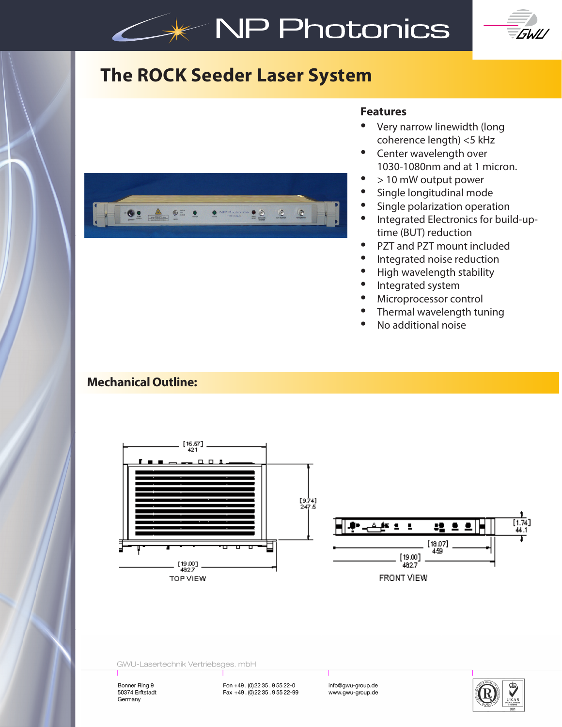# **NP Photonics**



## **The ROCK Seeder Laser System**



#### **Features**

- Very narrow linewidth (long coherence length) <5 kHz
- Center wavelength over 1030-1080nm and at 1 micron.
- > 10 mW output power
- Single longitudinal mode
- Single polarization operation
- Integrated Electronics for build-uptime (BUT) reduction
- PZT and PZT mount included
- Integrated noise reduction
- High wavelength stability
- Integrated system
- Microprocessor control
- Thermal wavelength tuning
- No additional noise

### **Mechanical Outline:**



|                                                              |                  | 1.74] |
|--------------------------------------------------------------|------------------|-------|
| $\begin{bmatrix} 19.00 \\ 482.7 \end{bmatrix}$<br>FRONT VIEW | $[18.07]$<br>459 |       |

GWU-Lasertechnik Vertriebsges. mbH

Bonner Ring 9 50374 Erftstadt Germany

Fon +49 . (0) 22 35 . 9 55 22-0<br>Fax +49 . (0) 22 35 . 9 55 22-99 www.gwu-group.de

www.gwu-group.de